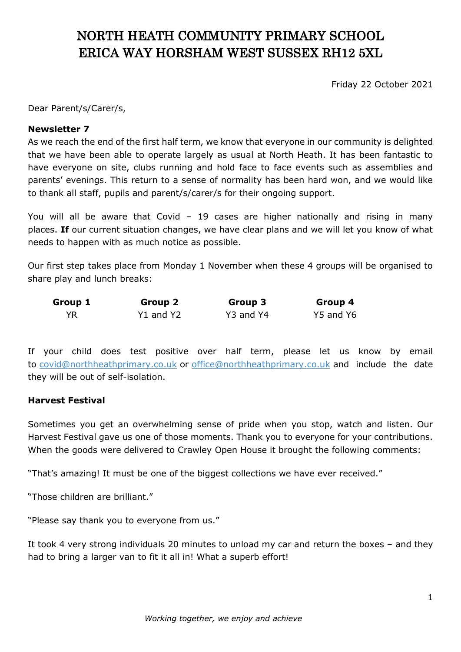# NORTH HEATH COMMUNITY PRIMARY SCHOOL ERICA WAY HORSHAM WEST SUSSEX RH12 5XL

Friday 22 October 2021

Dear Parent/s/Carer/s,

#### **Newsletter 7**

As we reach the end of the first half term, we know that everyone in our community is delighted that we have been able to operate largely as usual at North Heath. It has been fantastic to have everyone on site, clubs running and hold face to face events such as assemblies and parents' evenings. This return to a sense of normality has been hard won, and we would like to thank all staff, pupils and parent/s/carer/s for their ongoing support.

You will all be aware that Covid – 19 cases are higher nationally and rising in many places. **If** our current situation changes, we have clear plans and we will let you know of what needs to happen with as much notice as possible.

Our first step takes place from Monday 1 November when these 4 groups will be organised to share play and lunch breaks:

| Group 1 | Group 2   | Group 3   | Group 4   |
|---------|-----------|-----------|-----------|
| YR      | Y1 and Y2 | Y3 and Y4 | Y5 and Y6 |

If your child does test positive over half term, please let us know by email to [covid@northheathprimary.co.uk](mailto:covid@northheathprimary.co.uk) or [office@northheathprimary.co.uk](mailto:office@northheathprimary.co.uk) and include the date they will be out of self-isolation.

#### **Harvest Festival**

Sometimes you get an overwhelming sense of pride when you stop, watch and listen. Our Harvest Festival gave us one of those moments. Thank you to everyone for your contributions. When the goods were delivered to Crawley Open House it brought the following comments:

"That's amazing! It must be one of the biggest collections we have ever received."

"Those children are brilliant."

"Please say thank you to everyone from us."

It took 4 very strong individuals 20 minutes to unload my car and return the boxes – and they had to bring a larger van to fit it all in! What a superb effort!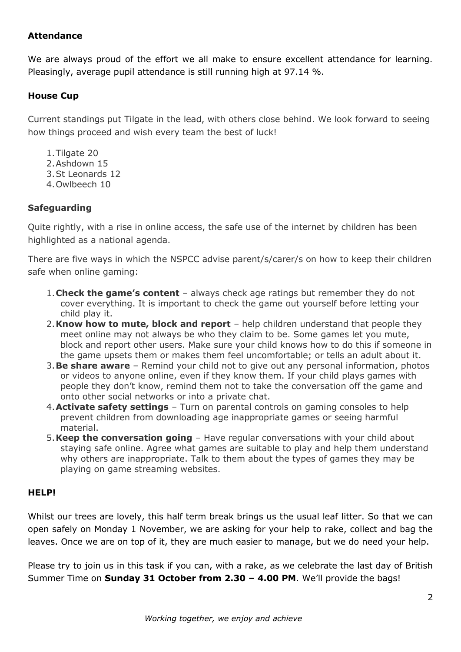## **Attendance**

We are always proud of the effort we all make to ensure excellent attendance for learning. Pleasingly, average pupil attendance is still running high at 97.14 %.

# **House Cup**

Current standings put Tilgate in the lead, with others close behind. We look forward to seeing how things proceed and wish every team the best of luck!

- 1.Tilgate 20
- 2.Ashdown 15
- 3.St Leonards 12
- 4.Owlbeech 10

## **Safeguarding**

Quite rightly, with a rise in online access, the safe use of the internet by children has been highlighted as a national agenda.

There are five ways in which the NSPCC advise parent/s/carer/s on how to keep their children safe when online gaming:

- 1.**Check the game's content** always check age ratings but remember they do not cover everything. It is important to check the game out yourself before letting your child play it.
- 2.**Know how to mute, block and report** help children understand that people they meet online may not always be who they claim to be. Some games let you mute, block and report other users. Make sure your child knows how to do this if someone in the game upsets them or makes them feel uncomfortable; or tells an adult about it.
- 3.**Be share aware** Remind your child not to give out any personal information, photos or videos to anyone online, even if they know them. If your child plays games with people they don't know, remind them not to take the conversation off the game and onto other social networks or into a private chat.
- 4.**Activate safety settings** Turn on parental controls on gaming consoles to help prevent children from downloading age inappropriate games or seeing harmful material.
- 5.**Keep the conversation going** Have regular conversations with your child about staying safe online. Agree what games are suitable to play and help them understand why others are inappropriate. Talk to them about the types of games they may be playing on game streaming websites.

#### **HELP!**

Whilst our trees are lovely, this half term break brings us the usual leaf litter. So that we can open safely on Monday 1 November, we are asking for your help to rake, collect and bag the leaves. Once we are on top of it, they are much easier to manage, but we do need your help.

Please try to join us in this task if you can, with a rake, as we celebrate the last day of British Summer Time on **Sunday 31 October from 2.30 – 4.00 PM**. We'll provide the bags!